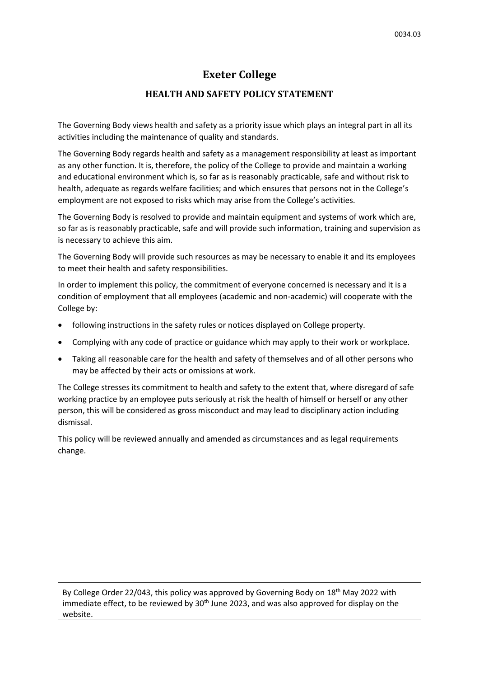## **Exeter College**

## **HEALTH AND SAFETY POLICY STATEMENT**

The Governing Body views health and safety as a priority issue which plays an integral part in all its activities including the maintenance of quality and standards.

The Governing Body regards health and safety as a management responsibility at least as important as any other function. It is, therefore, the policy of the College to provide and maintain a working and educational environment which is, so far as is reasonably practicable, safe and without risk to health, adequate as regards welfare facilities; and which ensures that persons not in the College's employment are not exposed to risks which may arise from the College's activities.

The Governing Body is resolved to provide and maintain equipment and systems of work which are, so far as is reasonably practicable, safe and will provide such information, training and supervision as is necessary to achieve this aim.

The Governing Body will provide such resources as may be necessary to enable it and its employees to meet their health and safety responsibilities.

In order to implement this policy, the commitment of everyone concerned is necessary and it is a condition of employment that all employees (academic and non-academic) will cooperate with the College by:

- following instructions in the safety rules or notices displayed on College property.
- Complying with any code of practice or guidance which may apply to their work or workplace.
- Taking all reasonable care for the health and safety of themselves and of all other persons who may be affected by their acts or omissions at work.

The College stresses its commitment to health and safety to the extent that, where disregard of safe working practice by an employee puts seriously at risk the health of himself or herself or any other person, this will be considered as gross misconduct and may lead to disciplinary action including dismissal.

This policy will be reviewed annually and amended as circumstances and as legal requirements change.

By College Order 22/043, this policy was approved by Governing Body on 18<sup>th</sup> May 2022 with immediate effect, to be reviewed by 30<sup>th</sup> June 2023, and was also approved for display on the website.